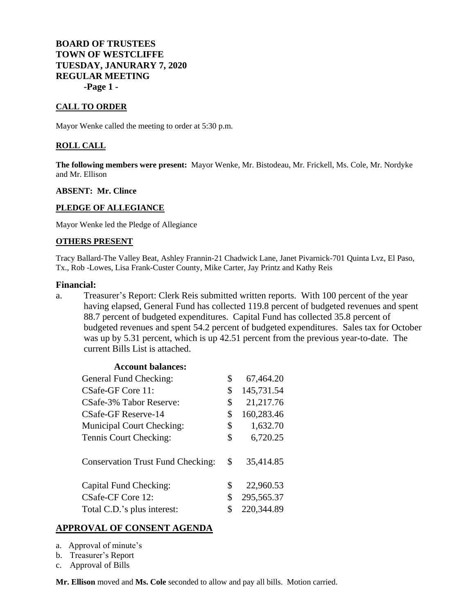# **BOARD OF TRUSTEES TOWN OF WESTCLIFFE TUESDAY, JANURARY 7, 2020 REGULAR MEETING -Page 1 -**

### **CALL TO ORDER**

Mayor Wenke called the meeting to order at 5:30 p.m.

### **ROLL CALL**

**The following members were present:** Mayor Wenke, Mr. Bistodeau, Mr. Frickell, Ms. Cole, Mr. Nordyke and Mr. Ellison

#### **ABSENT: Mr. Clince**

#### **PLEDGE OF ALLEGIANCE**

Mayor Wenke led the Pledge of Allegiance

#### **OTHERS PRESENT**

Tracy Ballard-The Valley Beat, Ashley Frannin-21 Chadwick Lane, Janet Pivarnick-701 Quinta Lvz, El Paso, Tx., Rob -Lowes, Lisa Frank-Custer County, Mike Carter, Jay Printz and Kathy Reis

#### **Financial:**

a. Treasurer's Report: Clerk Reis submitted written reports. With 100 percent of the year having elapsed, General Fund has collected 119.8 percent of budgeted revenues and spent 88.7 percent of budgeted expenditures. Capital Fund has collected 35.8 percent of budgeted revenues and spent 54.2 percent of budgeted expenditures. Sales tax for October was up by 5.31 percent, which is up 42.51 percent from the previous year-to-date. The current Bills List is attached.

| 67,464.20<br>145,731.54 |
|-------------------------|
|                         |
|                         |
| 21,217.76               |
| 160,283.46              |
| 1,632.70                |
| 6,720.25                |
| 35,414.85               |
| 22,960.53               |
| 295,565.37              |
| 220,344.89              |
|                         |

## **APPROVAL OF CONSENT AGENDA**

- a. Approval of minute's
- b. Treasurer's Report
- c. Approval of Bills

**Mr. Ellison** moved and **Ms. Cole** seconded to allow and pay all bills. Motion carried.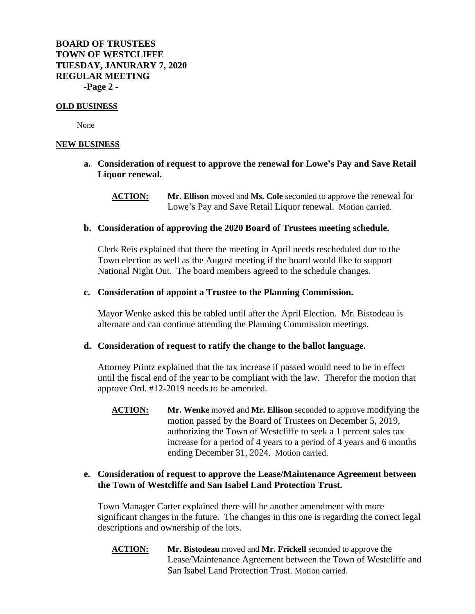**BOARD OF TRUSTEES TOWN OF WESTCLIFFE TUESDAY, JANURARY 7, 2020 REGULAR MEETING -Page 2 -**

#### **OLD BUSINESS**

None

#### **NEW BUSINESS**

- **a. Consideration of request to approve the renewal for Lowe's Pay and Save Retail Liquor renewal.**
	- **ACTION: Mr. Ellison** moved and **Ms. Cole** seconded to approve the renewal for Lowe's Pay and Save Retail Liquor renewal. Motion carried.

## **b. Consideration of approving the 2020 Board of Trustees meeting schedule.**

Clerk Reis explained that there the meeting in April needs rescheduled due to the Town election as well as the August meeting if the board would like to support National Night Out. The board members agreed to the schedule changes.

## **c. Consideration of appoint a Trustee to the Planning Commission.**

Mayor Wenke asked this be tabled until after the April Election. Mr. Bistodeau is alternate and can continue attending the Planning Commission meetings.

## **d. Consideration of request to ratify the change to the ballot language.**

Attorney Printz explained that the tax increase if passed would need to be in effect until the fiscal end of the year to be compliant with the law. Therefor the motion that approve Ord. #12-2019 needs to be amended.

**ACTION: Mr. Wenke** moved and **Mr. Ellison** seconded to approve modifying the motion passed by the Board of Trustees on December 5, 2019, authorizing the Town of Westcliffe to seek a 1 percent sales tax increase for a period of 4 years to a period of 4 years and 6 months ending December 31, 2024. Motion carried.

## **e. Consideration of request to approve the Lease/Maintenance Agreement between the Town of Westcliffe and San Isabel Land Protection Trust.**

Town Manager Carter explained there will be another amendment with more significant changes in the future. The changes in this one is regarding the correct legal descriptions and ownership of the lots.

**ACTION: Mr. Bistodeau** moved and **Mr. Frickell** seconded to approve the Lease/Maintenance Agreement between the Town of Westcliffe and San Isabel Land Protection Trust. Motion carried.